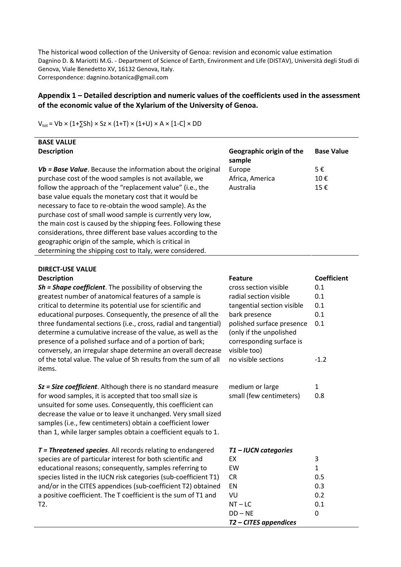The historical wood collection of the University of Genoa: revision and economic value estimation Dagnino D. & Mariotti M.G. - Department of Science of Earth, Environment and Life (DISTAV), Università degli Studi di Genova, Viale Benedetto XV, 16132 Genova, Italy. Correspondence: dagnino.botanica@gmail.com

## **Appendix 1 – Detailed description and numeric values of the coefficients used in the assessment of the economic value of the Xylarium of the University of Genoa.**

| <b>BASE VALUE</b>                                             |                                    |                   |
|---------------------------------------------------------------|------------------------------------|-------------------|
| <b>Description</b>                                            | Geographic origin of the<br>sample | <b>Base Value</b> |
| $Vb$ = Base Value. Because the information about the original | Europe                             | 5€                |
| purchase cost of the wood samples is not available, we        | Africa, America                    | 10€               |
| follow the approach of the "replacement value" (i.e., the     | Australia                          | 15€               |
| base value equals the monetary cost that it would be          |                                    |                   |
| necessary to face to re-obtain the wood sample). As the       |                                    |                   |
| purchase cost of small wood sample is currently very low,     |                                    |                   |
| the main cost is caused by the shipping fees. Following these |                                    |                   |
| considerations, three different base values according to the  |                                    |                   |
| geographic origin of the sample, which is critical in         |                                    |                   |
| determining the shipping cost to Italy, were considered.      |                                    |                   |

## $V_{\text{tot}}$  = Vb × (1+ $\overline{5}$ Sh) × Sz × (1+T) × (1+U) × A × [1-C] × DD

| <b>DIRECT-USE VALUE</b> |  |
|-------------------------|--|
| <b>Description</b>      |  |

| <b>DIRECT-USE VALUE</b>                                                                                                                                                                                                                                                                                                        |                                                                                                                         |               |
|--------------------------------------------------------------------------------------------------------------------------------------------------------------------------------------------------------------------------------------------------------------------------------------------------------------------------------|-------------------------------------------------------------------------------------------------------------------------|---------------|
| <b>Description</b>                                                                                                                                                                                                                                                                                                             | <b>Feature</b>                                                                                                          | Coefficient   |
| Sh = Shape coefficient. The possibility of observing the                                                                                                                                                                                                                                                                       | cross section visible                                                                                                   | 0.1           |
| greatest number of anatomical features of a sample is                                                                                                                                                                                                                                                                          | radial section visible                                                                                                  | 0.1           |
| critical to determine its potential use for scientific and                                                                                                                                                                                                                                                                     | tangential section visible                                                                                              | 0.1           |
| educational purposes. Consequently, the presence of all the                                                                                                                                                                                                                                                                    | bark presence                                                                                                           | 0.1           |
| three fundamental sections (i.e., cross, radial and tangential)<br>determine a cumulative increase of the value, as well as the<br>presence of a polished surface and of a portion of bark;<br>conversely, an irregular shape determine an overall decrease<br>of the total value. The value of Sh results from the sum of all | polished surface presence<br>(only if the unpolished<br>corresponding surface is<br>visible too)<br>no visible sections | 0.1<br>$-1.2$ |
| items.                                                                                                                                                                                                                                                                                                                         |                                                                                                                         |               |
| Sz = Size coefficient. Although there is no standard measure                                                                                                                                                                                                                                                                   | medium or large                                                                                                         | $\mathbf{1}$  |
| for wood samples, it is accepted that too small size is<br>unsuited for some uses. Consequently, this coefficient can<br>decrease the value or to leave it unchanged. Very small sized<br>samples (i.e., few centimeters) obtain a coefficient lower<br>than 1, while larger samples obtain a coefficient equals to 1.         | small (few centimeters)                                                                                                 | 0.8           |
| T = Threatened species. All records relating to endangered                                                                                                                                                                                                                                                                     | T1-IUCN categories                                                                                                      |               |
| species are of particular interest for both scientific and                                                                                                                                                                                                                                                                     | EX                                                                                                                      | 3             |
| educational reasons; consequently, samples referring to                                                                                                                                                                                                                                                                        | EW                                                                                                                      | $\mathbf{1}$  |
| species listed in the IUCN risk categories (sub-coefficient T1)                                                                                                                                                                                                                                                                | <b>CR</b>                                                                                                               | 0.5           |
| and/or in the CITES appendices (sub-coefficient T2) obtained                                                                                                                                                                                                                                                                   | EN                                                                                                                      | 0.3           |
| a positive coefficient. The T coefficient is the sum of T1 and                                                                                                                                                                                                                                                                 | VU                                                                                                                      | 0.2           |
| T2.                                                                                                                                                                                                                                                                                                                            | $NT - LC$                                                                                                               | 0.1           |
|                                                                                                                                                                                                                                                                                                                                | $DD - NE$                                                                                                               | 0             |
|                                                                                                                                                                                                                                                                                                                                | T2 - CITES appendices                                                                                                   |               |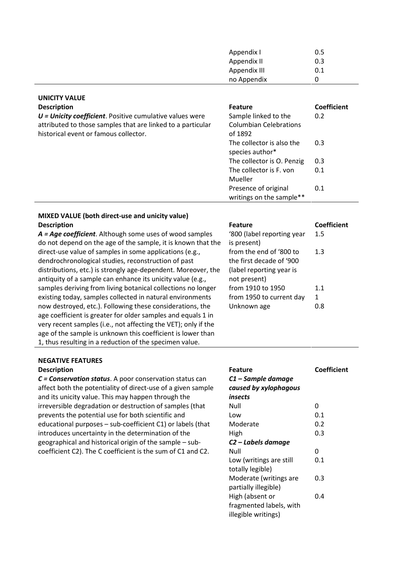| 0.5 |  |
|-----|--|
| 0.3 |  |
| 0.1 |  |
| 0   |  |
|     |  |

| <b>UNICITY VALUE</b>                                                                                                                                               |                                                                  |                    |
|--------------------------------------------------------------------------------------------------------------------------------------------------------------------|------------------------------------------------------------------|--------------------|
| <b>Description</b>                                                                                                                                                 | <b>Feature</b>                                                   | <b>Coefficient</b> |
| $U =$ Unicity coefficient. Positive cumulative values were<br>attributed to those samples that are linked to a particular<br>historical event or famous collector. | Sample linked to the<br><b>Columbian Celebrations</b><br>of 1892 | 0.2                |
|                                                                                                                                                                    | The collector is also the<br>species author*                     | 0.3                |
|                                                                                                                                                                    | The collector is O. Penzig                                       | 0.3                |
|                                                                                                                                                                    | The collector is F. von<br>Mueller                               | 0.1                |
|                                                                                                                                                                    | Presence of original                                             | 0.1                |

## **MIXED VALUE (both direct-use and unicity value) Description**

*A = Age coefficient*. Although some uses of wood samples do not depend on the age of the sample, it is known that the direct-use value of samples in some applications (e.g., dendrochronological studies, reconstruction of past distributions, etc.) is strongly age-dependent. Moreover, the antiquity of a sample can enhance its unicity value (e.g., samples deriving from living botanical collections no longer existing today, samples collected in natural environments now destroyed, etc.). Following these considerations, the age coefficient is greater for older samples and equals 1 in very recent samples (i.e., not affecting the VET); only if the age of the sample is unknown this coefficient is lower than 1, thus resulting in a reduction of the specimen value.

## **NEGATIVE FEATURES**

| <b>Feature</b>             | Coefficient |
|----------------------------|-------------|
| '800 (label reporting year | 1.5         |
| is present)                |             |
| from the end of '800 to    | 1.3         |
| the first decade of '900   |             |
| (label reporting year is   |             |
| not present)               |             |
| from 1910 to 1950          | 1.1         |
| from 1950 to current day   | 1           |
| Unknown age                |             |
|                            |             |

writings on the sample\*\*

| IVLOAIIVL FLAIONLJ                                           |                                |                    |
|--------------------------------------------------------------|--------------------------------|--------------------|
| <b>Description</b>                                           | <b>Feature</b>                 | <b>Coefficient</b> |
| C = Conservation status. A poor conservation status can      | C1 - Sample damage             |                    |
| affect both the potentiality of direct-use of a given sample | caused by xylophagous          |                    |
| and its unicity value. This may happen through the           | <i>insects</i>                 |                    |
| irreversible degradation or destruction of samples (that     | Null                           | 0                  |
| prevents the potential use for both scientific and           | Low                            | 0.1                |
| educational purposes - sub-coefficient C1) or labels (that   | Moderate                       | 0.2                |
| introduces uncertainty in the determination of the           | <b>High</b>                    | 0.3                |
| geographical and historical origin of the sample - sub-      | C <sub>2</sub> – Labels damage |                    |
| coefficient C2). The C coefficient is the sum of C1 and C2.  | Null                           | 0                  |
|                                                              | Low (writings are still        | 0.1                |
|                                                              | totally legible)               |                    |
|                                                              | Moderate (writings are         | 0.3                |
|                                                              | partially illegible)           |                    |
|                                                              | High (absent or                | 0.4                |
|                                                              | fragmented labels, with        |                    |
|                                                              | illegible writings)            |                    |
|                                                              |                                |                    |